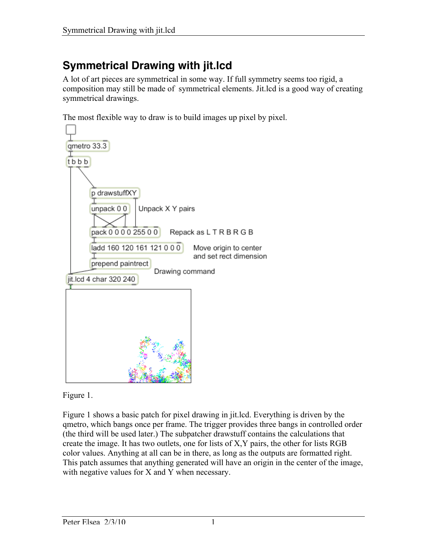## **Symmetrical Drawing with jit.lcd**

A lot of art pieces are symmetrical in some way. If full symmetry seems too rigid, a composition may still be made of symmetrical elements. Jit.lcd is a good way of creating symmetrical drawings.

The most flexible way to draw is to build images up pixel by pixel.



Figure 1.

Figure 1 shows a basic patch for pixel drawing in jit.lcd. Everything is driven by the qmetro, which bangs once per frame. The trigger provides three bangs in controlled order (the third will be used later.) The subpatcher drawstuff contains the calculations that create the image. It has two outlets, one for lists of X,Y pairs, the other for lists RGB color values. Anything at all can be in there, as long as the outputs are formatted right. This patch assumes that anything generated will have an origin in the center of the image, with negative values for X and Y when necessary.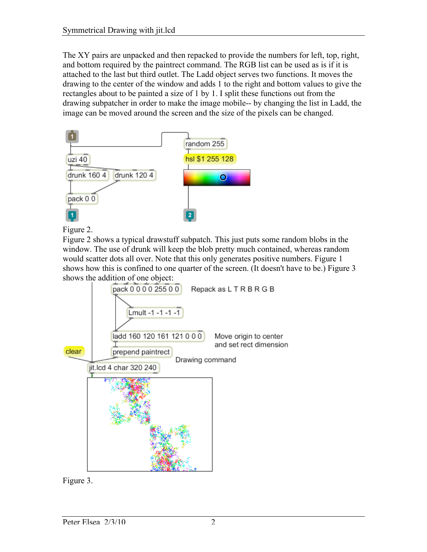The XY pairs are unpacked and then repacked to provide the numbers for left, top, right, and bottom required by the paintrect command. The RGB list can be used as is if it is attached to the last but third outlet. The Ladd object serves two functions. It moves the drawing to the center of the window and adds 1 to the right and bottom values to give the rectangles about to be painted a size of 1 by 1. I split these functions out from the drawing subpatcher in order to make the image mobile-- by changing the list in Ladd, the image can be moved around the screen and the size of the pixels can be changed.



Figure 2.

Figure 2 shows a typical drawstuff subpatch. This just puts some random blobs in the window. The use of drunk will keep the blob pretty much contained, whereas random would scatter dots all over. Note that this only generates positive numbers. Figure 1 shows how this is confined to one quarter of the screen. (It doesn't have to be.) Figure 3 shows the addition of one object:



Figure 3.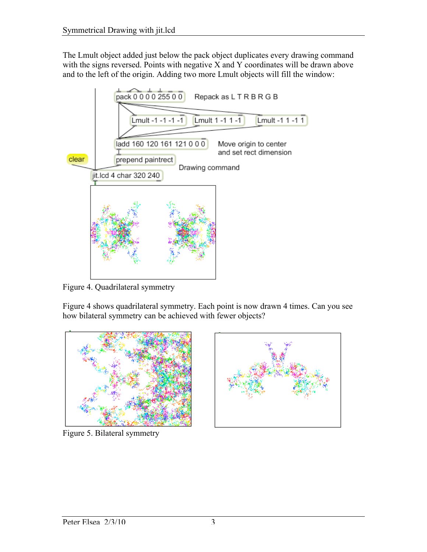The Lmult object added just below the pack object duplicates every drawing command with the signs reversed. Points with negative X and Y coordinates will be drawn above and to the left of the origin. Adding two more Lmult objects will fill the window:



Figure 4. Quadrilateral symmetry

Figure 4 shows quadrilateral symmetry. Each point is now drawn 4 times. Can you see how bilateral symmetry can be achieved with fewer objects?



Figure 5. Bilateral symmetry

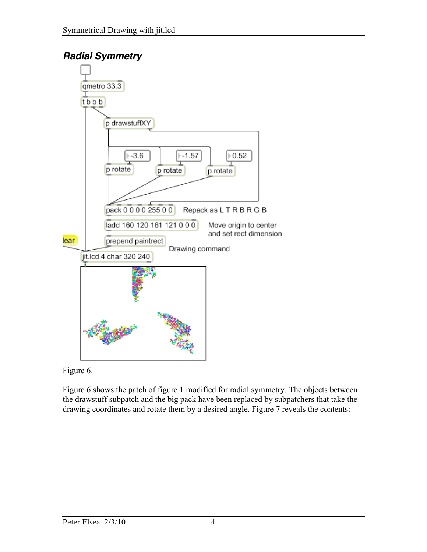## *Radial Symmetry*



Figure 6.

Figure 6 shows the patch of figure 1 modified for radial symmetry. The objects between the drawstuff subpatch and the big pack have been replaced by subpatchers that take the drawing coordinates and rotate them by a desired angle. Figure 7 reveals the contents: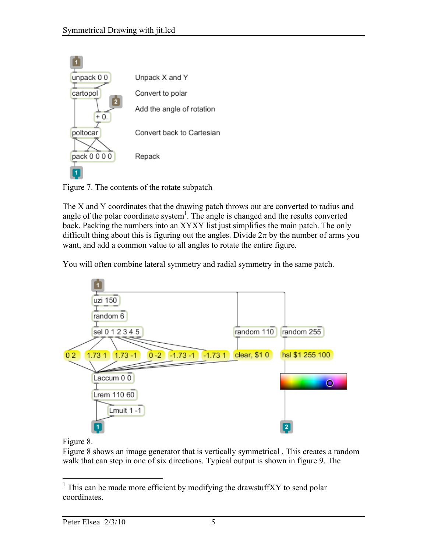

Figure 7. The contents of the rotate subpatch

The X and Y coordinates that the drawing patch throws out are converted to radius and angle of the polar coordinate system<sup>1</sup>. The angle is changed and the results converted back. Packing the numbers into an XYXY list just simplifies the main patch. The only difficult thing about this is figuring out the angles. Divide  $2\pi$  by the number of arms you want, and add a common value to all angles to rotate the entire figure.

You will often combine lateral symmetry and radial symmetry in the same patch.



## Figure 8.

Figure 8 shows an image generator that is vertically symmetrical . This creates a random walk that can step in one of six directions. Typical output is shown in figure 9. The

<sup>&</sup>lt;sup>1</sup> This can be made more efficient by modifying the drawstuffXY to send polar coordinates.